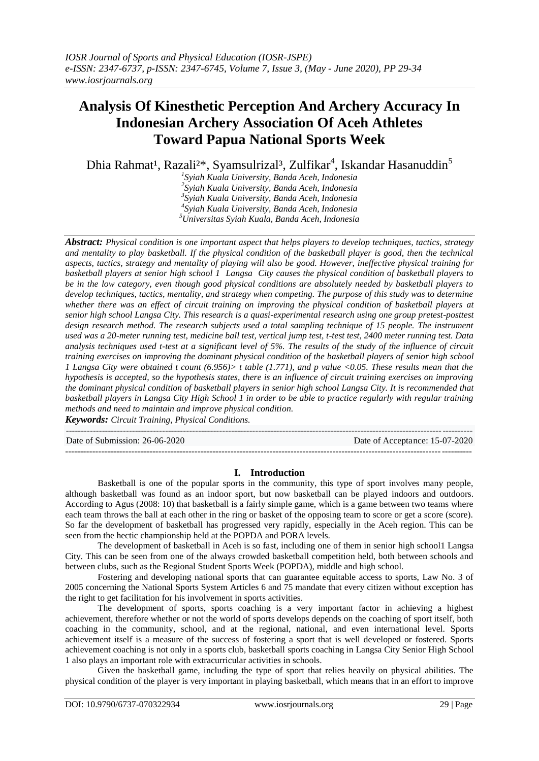# **Analysis Of Kinesthetic Perception And Archery Accuracy In Indonesian Archery Association Of Aceh Athletes Toward Papua National Sports Week**

Dhia Rahmat<sup>1</sup>, Razali<sup>2\*</sup>, Syamsulrizal<sup>3</sup>, Zulfikar<sup>4</sup>, Iskandar Hasanuddin<sup>5</sup>

 *Syiah Kuala University, Banda Aceh, Indonesia 2 Syiah Kuala University, Banda Aceh, Indonesia Syiah Kuala University, Banda Aceh, Indonesia Syiah Kuala University, Banda Aceh, Indonesia Universitas Syiah Kuala, Banda Aceh, Indonesia*

*Abstract: Physical condition is one important aspect that helps players to develop techniques, tactics, strategy and mentality to play basketball. If the physical condition of the basketball player is good, then the technical aspects, tactics, strategy and mentality of playing will also be good. However, ineffective physical training for basketball players at senior high school 1 Langsa City causes the physical condition of basketball players to be in the low category, even though good physical conditions are absolutely needed by basketball players to develop techniques, tactics, mentality, and strategy when competing. The purpose of this study was to determine whether there was an effect of circuit training on improving the physical condition of basketball players at senior high school Langsa City. This research is a quasi-experimental research using one group pretest-posttest design research method. The research subjects used a total sampling technique of 15 people. The instrument used was a 20-meter running test, medicine ball test, vertical jump test, t-test test, 2400 meter running test. Data analysis techniques used t-test at a significant level of 5%. The results of the study of the influence of circuit training exercises on improving the dominant physical condition of the basketball players of senior high school 1 Langsa City were obtained t count (6.956)> t table (1.771), and p value <0.05. These results mean that the hypothesis is accepted, so the hypothesis states, there is an influence of circuit training exercises on improving the dominant physical condition of basketball players in senior high school Langsa City. It is recommended that basketball players in Langsa City High School 1 in order to be able to practice regularly with regular training methods and need to maintain and improve physical condition.*

*Keywords: Circuit Training, Physical Conditions.*

--------------------------------------------------------------------------------------------------------------------------------------- Date of Submission: 26-06-2020 Date of Acceptance: 15-07-2020 ---------------------------------------------------------------------------------------------------------------------------------------

## **I. Introduction**

Basketball is one of the popular sports in the community, this type of sport involves many people, although basketball was found as an indoor sport, but now basketball can be played indoors and outdoors. According to Agus (2008: 10) that basketball is a fairly simple game, which is a game between two teams where each team throws the ball at each other in the ring or basket of the opposing team to score or get a score (score). So far the development of basketball has progressed very rapidly, especially in the Aceh region. This can be seen from the hectic championship held at the POPDA and PORA levels.

The development of basketball in Aceh is so fast, including one of them in senior high school1 Langsa City. This can be seen from one of the always crowded basketball competition held, both between schools and between clubs, such as the Regional Student Sports Week (POPDA), middle and high school.

Fostering and developing national sports that can guarantee equitable access to sports, Law No. 3 of 2005 concerning the National Sports System Articles 6 and 75 mandate that every citizen without exception has the right to get facilitation for his involvement in sports activities.

The development of sports, sports coaching is a very important factor in achieving a highest achievement, therefore whether or not the world of sports develops depends on the coaching of sport itself, both coaching in the community, school, and at the regional, national, and even international level. Sports achievement itself is a measure of the success of fostering a sport that is well developed or fostered. Sports achievement coaching is not only in a sports club, basketball sports coaching in Langsa City Senior High School 1 also plays an important role with extracurricular activities in schools.

Given the basketball game, including the type of sport that relies heavily on physical abilities. The physical condition of the player is very important in playing basketball, which means that in an effort to improve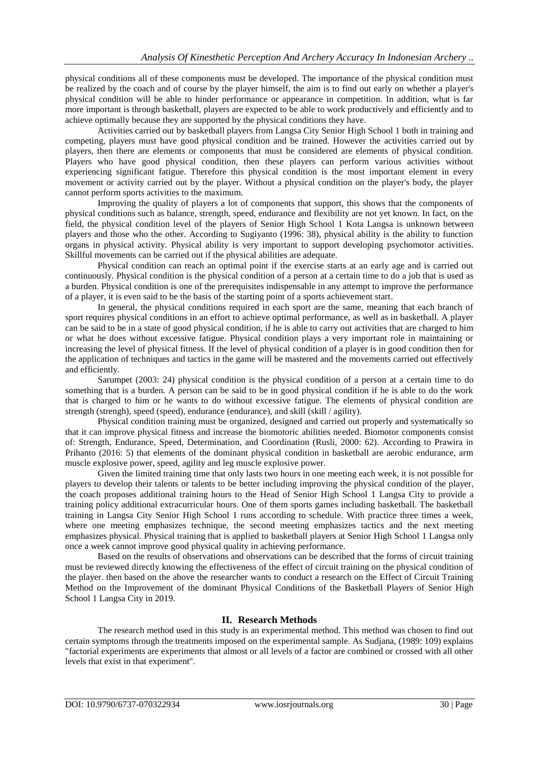physical conditions all of these components must be developed. The importance of the physical condition must be realized by the coach and of course by the player himself, the aim is to find out early on whether a player's physical condition will be able to hinder performance or appearance in competition. In addition, what is far more important is through basketball, players are expected to be able to work productively and efficiently and to achieve optimally because they are supported by the physical conditions they have.

Activities carried out by basketball players from Langsa City Senior High School 1 both in training and competing, players must have good physical condition and be trained. However the activities carried out by players, then there are elements or components that must be considered are elements of physical condition. Players who have good physical condition, then these players can perform various activities without experiencing significant fatigue. Therefore this physical condition is the most important element in every movement or activity carried out by the player. Without a physical condition on the player's body, the player cannot perform sports activities to the maximum.

Improving the quality of players a lot of components that support, this shows that the components of physical conditions such as balance, strength, speed, endurance and flexibility are not yet known. In fact, on the field, the physical condition level of the players of Senior High School 1 Kota Langsa is unknown between players and those who the other. According to Sugiyanto (1996: 38), physical ability is the ability to function organs in physical activity. Physical ability is very important to support developing psychomotor activities. Skillful movements can be carried out if the physical abilities are adequate.

Physical condition can reach an optimal point if the exercise starts at an early age and is carried out continuously. Physical condition is the physical condition of a person at a certain time to do a job that is used as a burden. Physical condition is one of the prerequisites indispensable in any attempt to improve the performance of a player, it is even said to be the basis of the starting point of a sports achievement start.

In general, the physical conditions required in each sport are the same, meaning that each branch of sport requires physical conditions in an effort to achieve optimal performance, as well as in basketball. A player can be said to be in a state of good physical condition, if he is able to carry out activities that are charged to him or what he does without excessive fatigue. Physical condition plays a very important role in maintaining or increasing the level of physical fitness. If the level of physical condition of a player is in good condition then for the application of techniques and tactics in the game will be mastered and the movements carried out effectively and efficiently.

Sarumpet (2003: 24) physical condition is the physical condition of a person at a certain time to do something that is a burden. A person can be said to be in good physical condition if he is able to do the work that is charged to him or he wants to do without excessive fatigue. The elements of physical condition are strength (strengh), speed (speed), endurance (endurance), and skill (skill / agility).

Physical condition training must be organized, designed and carried out properly and systematically so that it can improve physical fitness and increase the biomotoric abilities needed. Biomotor components consist of: Strength, Endurance, Speed, Determination, and Coordination (Rusli, 2000: 62). According to Prawira in Prihanto (2016: 5) that elements of the dominant physical condition in basketball are aerobic endurance, arm muscle explosive power, speed, agility and leg muscle explosive power.

Given the limited training time that only lasts two hours in one meeting each week, it is not possible for players to develop their talents or talents to be better including improving the physical condition of the player, the coach proposes additional training hours to the Head of Senior High School 1 Langsa City to provide a training policy additional extracurricular hours. One of them sports games including basketball. The basketball training in Langsa City Senior High School 1 runs according to schedule. With practice three times a week, where one meeting emphasizes technique, the second meeting emphasizes tactics and the next meeting emphasizes physical. Physical training that is applied to basketball players at Senior High School 1 Langsa only once a week cannot improve good physical quality in achieving performance.

Based on the results of observations and observations can be described that the forms of circuit training must be reviewed directly knowing the effectiveness of the effect of circuit training on the physical condition of the player. then based on the above the researcher wants to conduct a research on the Effect of Circuit Training Method on the Improvement of the dominant Physical Conditions of the Basketball Players of Senior High School 1 Langsa City in 2019.

# **II. Research Methods**

The research method used in this study is an experimental method. This method was chosen to find out certain symptoms through the treatments imposed on the experimental sample. As Sudjana, (1989: 109) explains "factorial experiments are experiments that almost or all levels of a factor are combined or crossed with all other levels that exist in that experiment".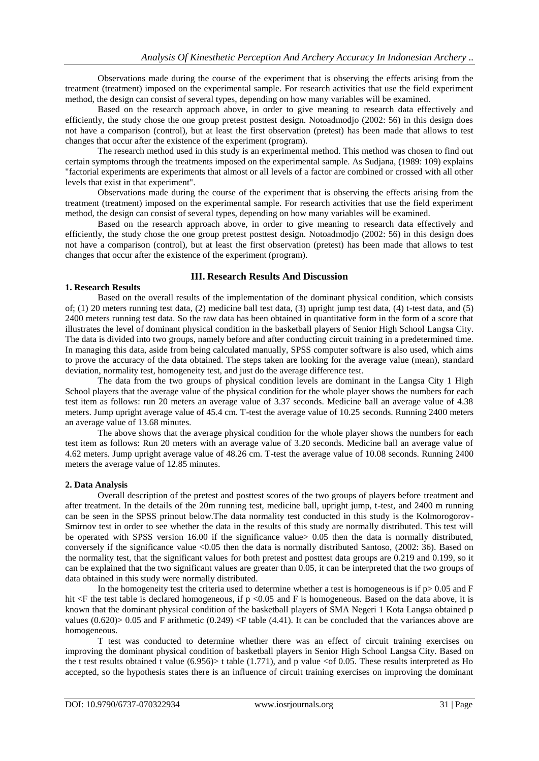Observations made during the course of the experiment that is observing the effects arising from the treatment (treatment) imposed on the experimental sample. For research activities that use the field experiment method, the design can consist of several types, depending on how many variables will be examined.

Based on the research approach above, in order to give meaning to research data effectively and efficiently, the study chose the one group pretest posttest design. Notoadmodjo (2002: 56) in this design does not have a comparison (control), but at least the first observation (pretest) has been made that allows to test changes that occur after the existence of the experiment (program).

The research method used in this study is an experimental method. This method was chosen to find out certain symptoms through the treatments imposed on the experimental sample. As Sudjana, (1989: 109) explains "factorial experiments are experiments that almost or all levels of a factor are combined or crossed with all other levels that exist in that experiment".

Observations made during the course of the experiment that is observing the effects arising from the treatment (treatment) imposed on the experimental sample. For research activities that use the field experiment method, the design can consist of several types, depending on how many variables will be examined.

Based on the research approach above, in order to give meaning to research data effectively and efficiently, the study chose the one group pretest posttest design. Notoadmodjo (2002: 56) in this design does not have a comparison (control), but at least the first observation (pretest) has been made that allows to test changes that occur after the existence of the experiment (program).

#### **III. Research Results And Discussion**

#### **1. Research Results**

Based on the overall results of the implementation of the dominant physical condition, which consists of; (1) 20 meters running test data, (2) medicine ball test data, (3) upright jump test data, (4) t-test data, and (5) 2400 meters running test data. So the raw data has been obtained in quantitative form in the form of a score that illustrates the level of dominant physical condition in the basketball players of Senior High School Langsa City. The data is divided into two groups, namely before and after conducting circuit training in a predetermined time. In managing this data, aside from being calculated manually, SPSS computer software is also used, which aims to prove the accuracy of the data obtained. The steps taken are looking for the average value (mean), standard deviation, normality test, homogeneity test, and just do the average difference test.

The data from the two groups of physical condition levels are dominant in the Langsa City 1 High School players that the average value of the physical condition for the whole player shows the numbers for each test item as follows: run 20 meters an average value of 3.37 seconds. Medicine ball an average value of 4.38 meters. Jump upright average value of 45.4 cm. T-test the average value of 10.25 seconds. Running 2400 meters an average value of 13.68 minutes.

The above shows that the average physical condition for the whole player shows the numbers for each test item as follows: Run 20 meters with an average value of 3.20 seconds. Medicine ball an average value of 4.62 meters. Jump upright average value of 48.26 cm. T-test the average value of 10.08 seconds. Running 2400 meters the average value of 12.85 minutes.

#### **2. Data Analysis**

Overall description of the pretest and posttest scores of the two groups of players before treatment and after treatment. In the details of the 20m running test, medicine ball, upright jump, t-test, and 2400 m running can be seen in the SPSS prinout below.The data normality test conducted in this study is the Kolmorogorov-Smirnov test in order to see whether the data in the results of this study are normally distributed. This test will be operated with SPSS version 16.00 if the significance value> 0.05 then the data is normally distributed, conversely if the significance value <0.05 then the data is normally distributed Santoso, (2002: 36). Based on the normality test, that the significant values for both pretest and posttest data groups are 0.219 and 0.199, so it can be explained that the two significant values are greater than 0.05, it can be interpreted that the two groups of data obtained in this study were normally distributed.

In the homogeneity test the criteria used to determine whether a test is homogeneous is if  $p > 0.05$  and F hit <F the test table is declared homogeneous, if p <0.05 and F is homogeneous. Based on the data above, it is known that the dominant physical condition of the basketball players of SMA Negeri 1 Kota Langsa obtained p values  $(0.620)$  > 0.05 and F arithmetic  $(0.249)$  <F table  $(4.41)$ . It can be concluded that the variances above are homogeneous.

T test was conducted to determine whether there was an effect of circuit training exercises on improving the dominant physical condition of basketball players in Senior High School Langsa City. Based on the t test results obtained t value  $(6.956)$  t table  $(1.771)$ , and p value <of 0.05. These results interpreted as Ho accepted, so the hypothesis states there is an influence of circuit training exercises on improving the dominant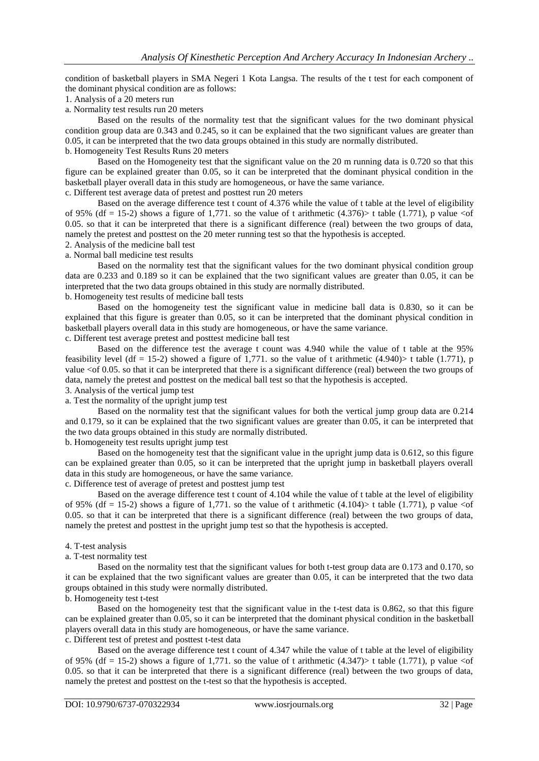condition of basketball players in SMA Negeri 1 Kota Langsa. The results of the t test for each component of the dominant physical condition are as follows:

- 1. Analysis of a 20 meters run
- a. Normality test results run 20 meters

Based on the results of the normality test that the significant values for the two dominant physical condition group data are 0.343 and 0.245, so it can be explained that the two significant values are greater than 0.05, it can be interpreted that the two data groups obtained in this study are normally distributed.

b. Homogeneity Test Results Runs 20 meters

Based on the Homogeneity test that the significant value on the 20 m running data is 0.720 so that this figure can be explained greater than 0.05, so it can be interpreted that the dominant physical condition in the basketball player overall data in this study are homogeneous, or have the same variance.

c. Different test average data of pretest and posttest run 20 meters

Based on the average difference test t count of 4.376 while the value of t table at the level of eligibility of 95% (df = 15-2) shows a figure of 1,771, so the value of t arithmetic (4.376) t table (1.771), p value  $\lt o$  of 0.05. so that it can be interpreted that there is a significant difference (real) between the two groups of data, namely the pretest and posttest on the 20 meter running test so that the hypothesis is accepted.

2. Analysis of the medicine ball test

a. Normal ball medicine test results

Based on the normality test that the significant values for the two dominant physical condition group data are 0.233 and 0.189 so it can be explained that the two significant values are greater than 0.05, it can be interpreted that the two data groups obtained in this study are normally distributed. b. Homogeneity test results of medicine ball tests

Based on the homogeneity test the significant value in medicine ball data is 0.830, so it can be explained that this figure is greater than 0.05, so it can be interpreted that the dominant physical condition in basketball players overall data in this study are homogeneous, or have the same variance.

c. Different test average pretest and posttest medicine ball test

Based on the difference test the average t count was 4.940 while the value of t table at the 95% feasibility level (df = 15-2) showed a figure of 1,771. so the value of t arithmetic (4.940) t table (1.771), p value <of 0.05. so that it can be interpreted that there is a significant difference (real) between the two groups of data, namely the pretest and posttest on the medical ball test so that the hypothesis is accepted.

3. Analysis of the vertical jump test

a. Test the normality of the upright jump test

Based on the normality test that the significant values for both the vertical jump group data are 0.214 and 0.179, so it can be explained that the two significant values are greater than 0.05, it can be interpreted that the two data groups obtained in this study are normally distributed.

b. Homogeneity test results upright jump test

Based on the homogeneity test that the significant value in the upright jump data is 0.612, so this figure can be explained greater than 0.05, so it can be interpreted that the upright jump in basketball players overall data in this study are homogeneous, or have the same variance.

c. Difference test of average of pretest and posttest jump test

Based on the average difference test t count of 4.104 while the value of t table at the level of eligibility of 95% (df = 15-2) shows a figure of 1,771, so the value of t arithmetic (4.104) t table (1.771), p value  $\le$  of 0.05. so that it can be interpreted that there is a significant difference (real) between the two groups of data, namely the pretest and posttest in the upright jump test so that the hypothesis is accepted.

#### 4. T-test analysis

#### a. T-test normality test

Based on the normality test that the significant values for both t-test group data are 0.173 and 0.170, so it can be explained that the two significant values are greater than 0.05, it can be interpreted that the two data groups obtained in this study were normally distributed.

b. Homogeneity test t-test

Based on the homogeneity test that the significant value in the t-test data is 0.862, so that this figure can be explained greater than 0.05, so it can be interpreted that the dominant physical condition in the basketball players overall data in this study are homogeneous, or have the same variance.

c. Different test of pretest and posttest t-test data

Based on the average difference test t count of 4.347 while the value of t table at the level of eligibility of 95% (df = 15-2) shows a figure of 1,771. so the value of t arithmetic (4.347) t table (1.771), p value <of 0.05. so that it can be interpreted that there is a significant difference (real) between the two groups of data, namely the pretest and posttest on the t-test so that the hypothesis is accepted.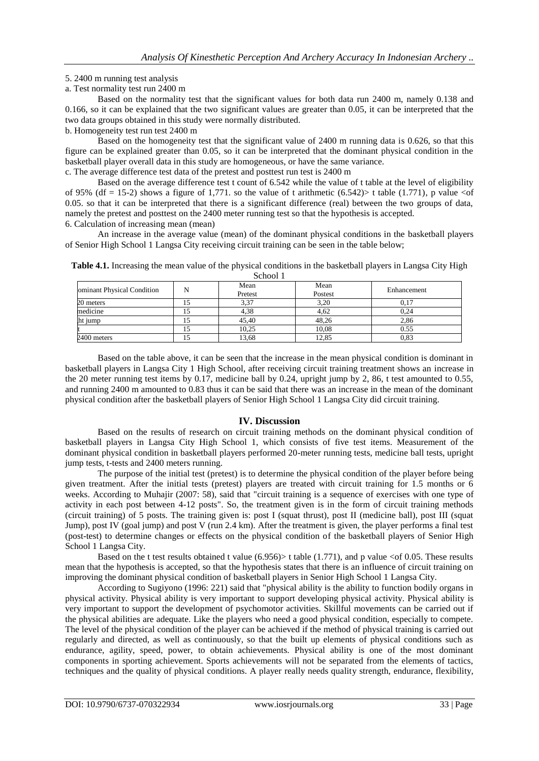#### 5. 2400 m running test analysis

a. Test normality test run 2400 m

Based on the normality test that the significant values for both data run 2400 m, namely 0.138 and 0.166, so it can be explained that the two significant values are greater than 0.05, it can be interpreted that the two data groups obtained in this study were normally distributed.

b. Homogeneity test run test 2400 m

Based on the homogeneity test that the significant value of 2400 m running data is 0.626, so that this figure can be explained greater than 0.05, so it can be interpreted that the dominant physical condition in the basketball player overall data in this study are homogeneous, or have the same variance. c. The average difference test data of the pretest and posttest run test is 2400 m

Based on the average difference test t count of 6.542 while the value of t table at the level of eligibility of 95% (df = 15-2) shows a figure of 1,771. so the value of t arithmetic (6.542) t table (1.771), p value <of 0.05. so that it can be interpreted that there is a significant difference (real) between the two groups of data, namely the pretest and posttest on the 2400 meter running test so that the hypothesis is accepted.

6. Calculation of increasing mean (mean)

An increase in the average value (mean) of the dominant physical conditions in the basketball players of Senior High School 1 Langsa City receiving circuit training can be seen in the table below;

| <b>DUIDUL 1</b>            |  |         |         |             |
|----------------------------|--|---------|---------|-------------|
| ominant Physical Condition |  | Mean    | Mean    | Enhancement |
|                            |  | Pretest | Postest |             |
| 20 meters                  |  | 3,37    | 3,20    | 0.17        |
| medicine                   |  | 4,38    | 4.62    | 0.24        |
| ht jump                    |  | 45.40   | 48.26   | 2,86        |
|                            |  | 10.25   | 10.08   | 0.55        |
| 2400 meters                |  | 13,68   | 12,85   | $_{0.83}$   |

**Table 4.1.** Increasing the mean value of the physical conditions in the basketball players in Langsa City High School 1

Based on the table above, it can be seen that the increase in the mean physical condition is dominant in basketball players in Langsa City 1 High School, after receiving circuit training treatment shows an increase in the 20 meter running test items by 0.17, medicine ball by 0.24, upright jump by 2, 86, t test amounted to 0.55, and running 2400 m amounted to 0.83 thus it can be said that there was an increase in the mean of the dominant physical condition after the basketball players of Senior High School 1 Langsa City did circuit training.

## **IV. Discussion**

Based on the results of research on circuit training methods on the dominant physical condition of basketball players in Langsa City High School 1, which consists of five test items. Measurement of the dominant physical condition in basketball players performed 20-meter running tests, medicine ball tests, upright jump tests, t-tests and 2400 meters running.

The purpose of the initial test (pretest) is to determine the physical condition of the player before being given treatment. After the initial tests (pretest) players are treated with circuit training for 1.5 months or 6 weeks. According to Muhajir (2007: 58), said that "circuit training is a sequence of exercises with one type of activity in each post between 4-12 posts". So, the treatment given is in the form of circuit training methods (circuit training) of 5 posts. The training given is: post I (squat thrust), post II (medicine ball), post III (squat Jump), post IV (goal jump) and post V (run 2.4 km). After the treatment is given, the player performs a final test (post-test) to determine changes or effects on the physical condition of the basketball players of Senior High School 1 Langsa City.

Based on the t test results obtained t value  $(6.956)$  t table  $(1.771)$ , and p value <of 0.05. These results mean that the hypothesis is accepted, so that the hypothesis states that there is an influence of circuit training on improving the dominant physical condition of basketball players in Senior High School 1 Langsa City.

 According to Sugiyono (1996: 221) said that "physical ability is the ability to function bodily organs in physical activity. Physical ability is very important to support developing physical activity. Physical ability is very important to support the development of psychomotor activities. Skillful movements can be carried out if the physical abilities are adequate. Like the players who need a good physical condition, especially to compete. The level of the physical condition of the player can be achieved if the method of physical training is carried out regularly and directed, as well as continuously, so that the built up elements of physical conditions such as endurance, agility, speed, power, to obtain achievements. Physical ability is one of the most dominant components in sporting achievement. Sports achievements will not be separated from the elements of tactics, techniques and the quality of physical conditions. A player really needs quality strength, endurance, flexibility,